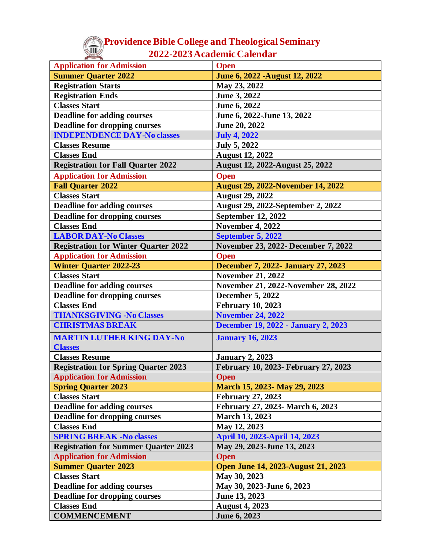## **Providence Bible College and Theological Seminary 2022-2023 Academic Calendar**

| <b>Application for Admission</b>                   | <b>Open</b>                               |
|----------------------------------------------------|-------------------------------------------|
| <b>Summer Quarter 2022</b>                         | June 6, 2022 - August 12, 2022            |
| <b>Registration Starts</b>                         | May 23, 2022                              |
| <b>Registration Ends</b>                           | June 3, 2022                              |
| <b>Classes Start</b>                               | June 6, 2022                              |
| <b>Deadline for adding courses</b>                 | June 6, 2022-June 13, 2022                |
| <b>Deadline for dropping courses</b>               | June 20, 2022                             |
| <b>INDEPENDENCE DAY-No classes</b>                 | <b>July 4, 2022</b>                       |
| <b>Classes Resume</b>                              | <b>July 5, 2022</b>                       |
| <b>Classes End</b>                                 | <b>August 12, 2022</b>                    |
| <b>Registration for Fall Quarter 2022</b>          | August 12, 2022-August 25, 2022           |
| <b>Application for Admission</b>                   | <b>Open</b>                               |
| <b>Fall Quarter 2022</b>                           | <b>August 29, 2022-November 14, 2022</b>  |
| <b>Classes Start</b>                               | <b>August 29, 2022</b>                    |
| <b>Deadline for adding courses</b>                 | August 29, 2022-September 2, 2022         |
| <b>Deadline for dropping courses</b>               | <b>September 12, 2022</b>                 |
| <b>Classes End</b>                                 | <b>November 4, 2022</b>                   |
| <b>LABOR DAY-No Classes</b>                        | <b>September 5, 2022</b>                  |
| <b>Registration for Winter Quarter 2022</b>        | November 23, 2022- December 7, 2022       |
| <b>Application for Admission</b>                   | <b>Open</b>                               |
| <b>Winter Quarter 2022-23</b>                      | <b>December 7, 2022- January 27, 2023</b> |
| <b>Classes Start</b>                               | <b>November 21, 2022</b>                  |
| <b>Deadline for adding courses</b>                 | November 21, 2022-November 28, 2022       |
| <b>Deadline for dropping courses</b>               | <b>December 5, 2022</b>                   |
| <b>Classes End</b>                                 | <b>February 10, 2023</b>                  |
| <b>THANKSGIVING -No Classes</b>                    | <b>November 24, 2022</b>                  |
| <b>CHRISTMAS BREAK</b>                             | December 19, 2022 - January 2, 2023       |
|                                                    |                                           |
| <b>MARTIN LUTHER KING DAY-No</b><br><b>Classes</b> | <b>January 16, 2023</b>                   |
| <b>Classes Resume</b>                              | <b>January 2, 2023</b>                    |
| <b>Registration for Spring Quarter 2023</b>        | February 10, 2023- February 27, 2023      |
| <b>Application for Admission</b>                   | <b>Open</b>                               |
| <b>Spring Quarter 2023</b>                         | March 15, 2023- May 29, 2023              |
| <b>Classes Start</b>                               | <b>February 27, 2023</b>                  |
| <b>Deadline for adding courses</b>                 | February 27, 2023- March 6, 2023          |
| <b>Deadline for dropping courses</b>               | <b>March 13, 2023</b>                     |
| <b>Classes End</b>                                 | May 12, 2023                              |
| <b>SPRING BREAK -No classes</b>                    | April 10, 2023-April 14, 2023             |
| <b>Registration for Summer Quarter 2023</b>        | May 29, 2023-June 13, 2023                |
| <b>Application for Admission</b>                   | <b>Open</b>                               |
| <b>Summer Quarter 2023</b>                         | <b>Open June 14, 2023-August 21, 2023</b> |
| <b>Classes Start</b>                               | May 30, 2023                              |
| <b>Deadline for adding courses</b>                 | May 30, 2023-June 6, 2023                 |
| <b>Deadline for dropping courses</b>               | June 13, 2023                             |
| <b>Classes End</b>                                 | <b>August 4, 2023</b>                     |
| <b>COMMENCEMENT</b>                                | June 6, 2023                              |